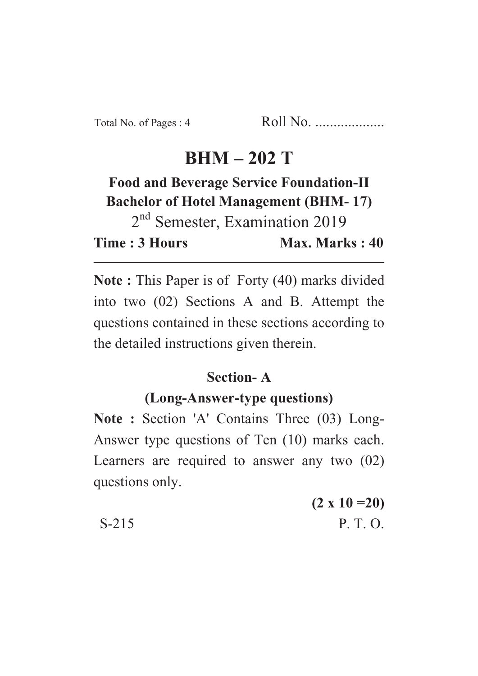# **BHM – 202 T**

# **Food and Beverage Service Foundation-II Bachelor of Hotel Management (BHM- 17)**

2<sup>nd</sup> Semester, Examination 2019 **Time : 3 Hours Max. Marks : 40** 

**Note :** This Paper is of Forty (40) marks divided into two (02) Sections A and B. Attempt the questions contained in these sections according to the detailed instructions given therein.

#### **Section- A**

## **(Long-Answer-type questions)**

**Note :** Section 'A' Contains Three (03) Long-Answer type questions of Ten (10) marks each. Learners are required to answer any two (02) questions only.

**(2 x 10 =20)**  $S-215$  P. T. O.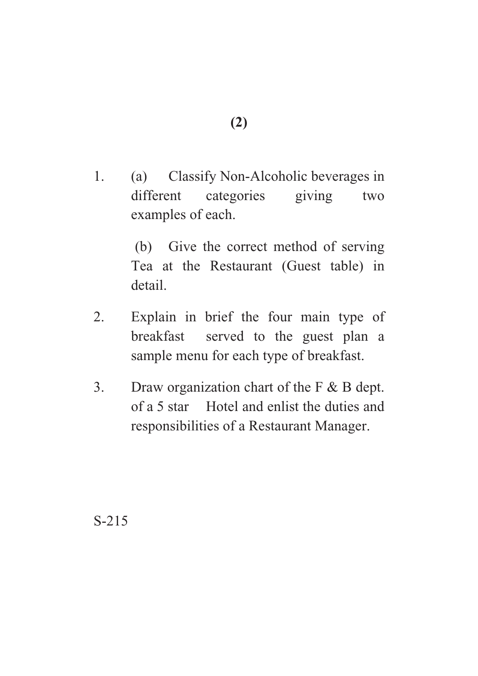1. (a) Classify Non-Alcoholic beverages in different categories giving two examples of each.

> (b) Give the correct method of serving Tea at the Restaurant (Guest table) in detail.

- 2. Explain in brief the four main type of breakfast served to the guest plan a sample menu for each type of breakfast.
- 3. Draw organization chart of the F & B dept. of a 5 star Hotel and enlist the duties and responsibilities of a Restaurant Manager.

S-215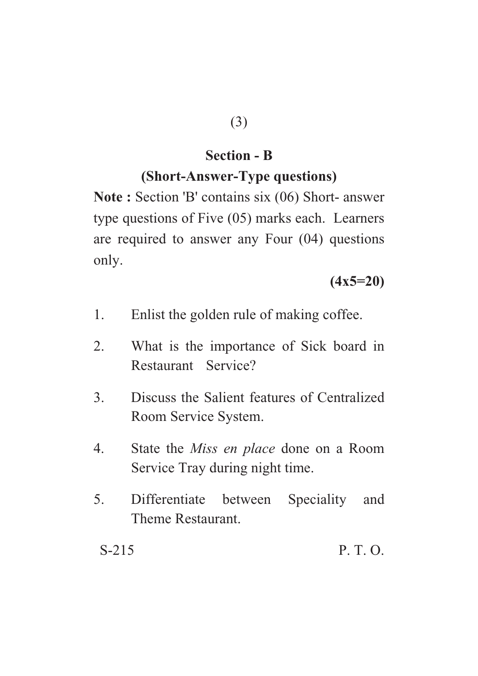## **Section - B**

#### **(Short-Answer-Type questions)**

**Note :** Section 'B' contains six (06) Short- answer type questions of Five (05) marks each. Learners are required to answer any Four (04) questions only.

**(4x5=20)**

- 1. Enlist the golden rule of making coffee.
- 2. What is the importance of Sick board in Restaurant Service?
- 3. Discuss the Salient features of Centralized Room Service System.
- 4. State the *Miss en place* done on a Room Service Tray during night time.
- 5. Differentiate between Speciality and Theme Restaurant.

 $S-215$  P. T. O.

(3)